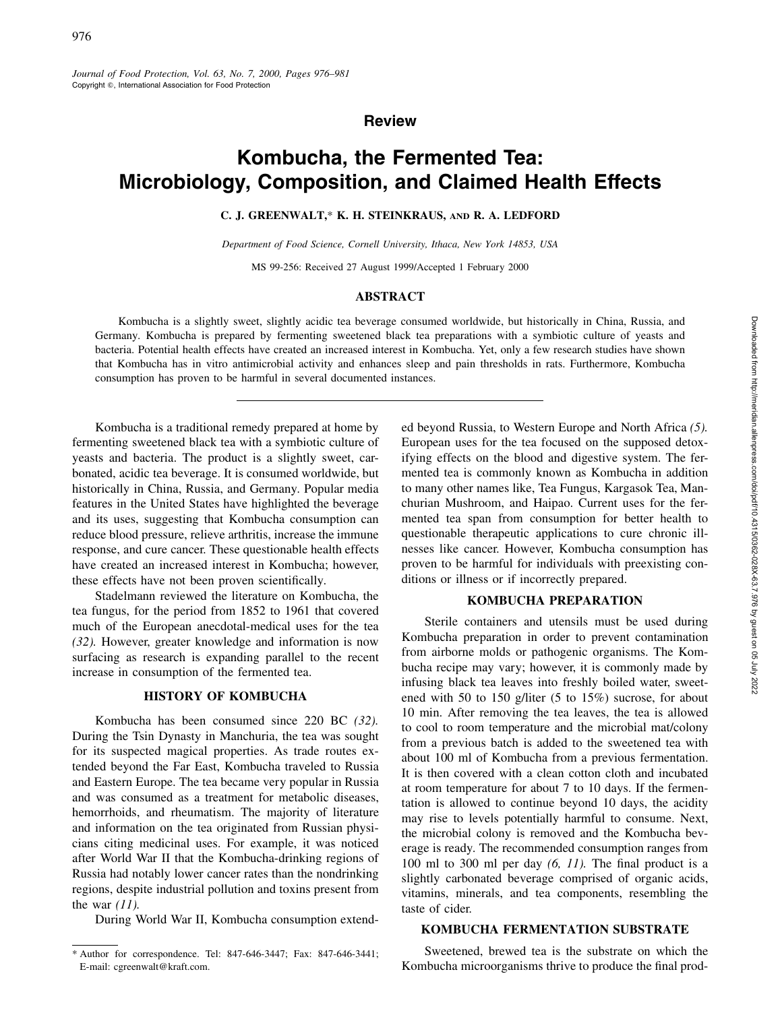# **Review**

# **Kombucha, the Fermented Tea: Microbiology, Composition, and Claimed Health Effects**

# **C. J. GREENWALT,**\* **K. H. STEINKRAUS, AND R. A. LEDFORD**

*Department of Food Science, Cornell University, Ithaca, New York 14853, USA*

MS 99-256: Received 27 August 1999/Accepted 1 February 2000

#### **ABSTRACT**

Kombucha is a slightly sweet, slightly acidic tea beverage consumed worldwide, but historically in China, Russia, and Germany. Kombucha is prepared by fermenting sweetened black tea preparations with a symbiotic culture of yeasts and bacteria. Potential health effects have created an increased interest in Kombucha. Yet, only a few research studies have shown that Kombucha has in vitro antimicrobial activity and enhances sleep and pain thresholds in rats. Furthermore, Kombucha consumption has proven to be harmful in several documented instances.

Kombucha is a traditional remedy prepared at home by fermenting sweetened black tea with a symbiotic culture of yeasts and bacteria. The product is a slightly sweet, carbonated, acidic tea beverage. It is consumed worldwide, but historically in China, Russia, and Germany. Popular media features in the United States have highlighted the beverage and its uses, suggesting that Kombucha consumption can reduce blood pressure, relieve arthritis, increase the immune response, and cure cancer. These questionable health effects have created an increased interest in Kombucha; however, these effects have not been proven scientifically.

Stadelmann reviewed the literature on Kombucha, the tea fungus, for the period from 1852 to 1961 that covered much of the European anecdotal-medical uses for the tea *(32).* However, greater knowledge and information is now surfacing as research is expanding parallel to the recent increase in consumption of the fermented tea.

# **HISTORY OF KOMBUCHA**

Kombucha has been consumed since 220 BC *(32).* During the Tsin Dynasty in Manchuria, the tea was sought for its suspected magical properties. As trade routes extended beyond the Far East, Kombucha traveled to Russia and Eastern Europe. The tea became very popular in Russia and was consumed as a treatment for metabolic diseases, hemorrhoids, and rheumatism. The majority of literature and information on the tea originated from Russian physicians citing medicinal uses. For example, it was noticed after World War II that the Kombucha-drinking regions of Russia had notably lower cancer rates than the nondrinking regions, despite industrial pollution and toxins present from the war *(11).*

During World War II, Kombucha consumption extend-

ed beyond Russia, to Western Europe and North Africa *(5).* European uses for the tea focused on the supposed detoxifying effects on the blood and digestive system. The fermented tea is commonly known as Kombucha in addition to many other names like, Tea Fungus, Kargasok Tea, Manchurian Mushroom, and Haipao. Current uses for the fermented tea span from consumption for better health to questionable therapeutic applications to cure chronic illnesses like cancer. However, Kombucha consumption has proven to be harmful for individuals with preexisting conditions or illness or if incorrectly prepared.

# **KOMBUCHA PREPARATION**

Sterile containers and utensils must be used during Kombucha preparation in order to prevent contamination from airborne molds or pathogenic organisms. The Kombucha recipe may vary; however, it is commonly made by infusing black tea leaves into freshly boiled water, sweetened with 50 to 150 g/liter (5 to 15%) sucrose, for about 10 min. After removing the tea leaves, the tea is allowed to cool to room temperature and the microbial mat/colony from a previous batch is added to the sweetened tea with about 100 ml of Kombucha from a previous fermentation. It is then covered with a clean cotton cloth and incubated at room temperature for about 7 to 10 days. If the fermentation is allowed to continue beyond 10 days, the acidity may rise to levels potentially harmful to consume. Next, the microbial colony is removed and the Kombucha beverage is ready. The recommended consumption ranges from 100 ml to 300 ml per day *(6, 11).* The final product is a slightly carbonated beverage comprised of organic acids, vitamins, minerals, and tea components, resembling the taste of cider.

# **KOMBUCHA FERMENTATION SUBSTRATE**

Sweetened, brewed tea is the substrate on which the Kombucha microorganisms thrive to produce the final prod-

<sup>\*</sup> Author for correspondence. Tel: 847-646-3447; Fax: 847-646-3441; E-mail: cgreenwalt@kraft.com.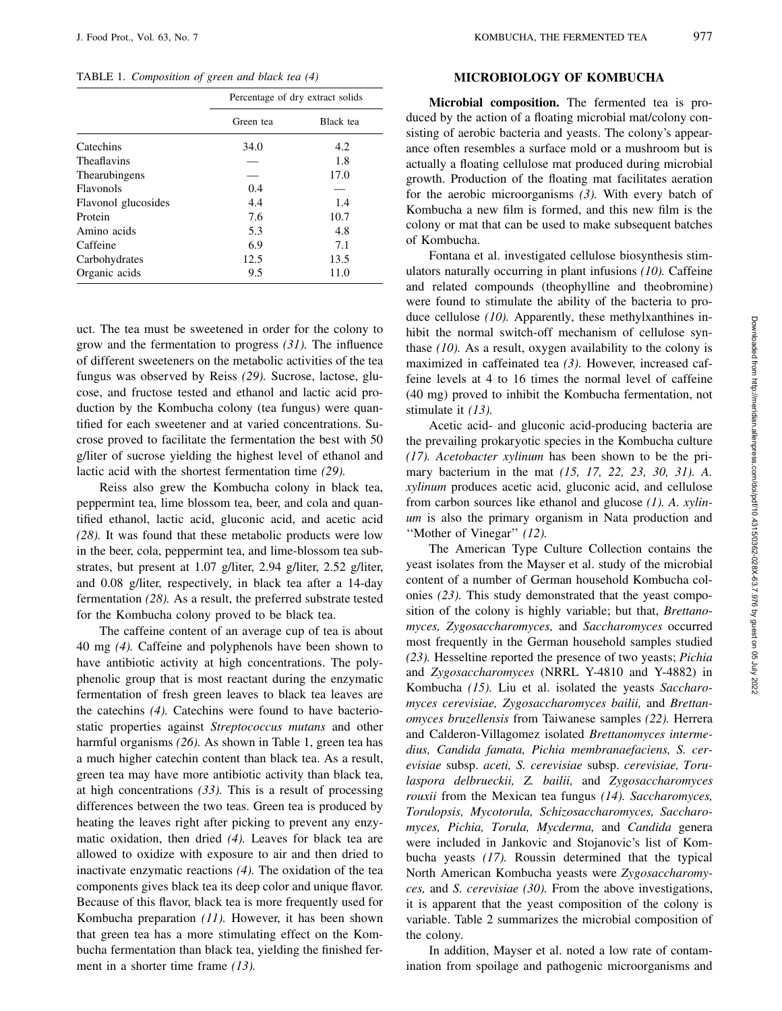TABLE 1. *Composition of green and black tea (4)*

|                     | Percentage of dry extract solids |           |  |  |
|---------------------|----------------------------------|-----------|--|--|
|                     | Green tea                        | Black tea |  |  |
| Catechins           | 34.0                             | 4.2       |  |  |
| Theaflavins         |                                  | 1.8       |  |  |
| Thearubingens       |                                  | 17.0      |  |  |
| Flavonols           | 0.4                              |           |  |  |
| Flavonol glucosides | 4.4                              | 1.4       |  |  |
| Protein             | 7.6                              | 10.7      |  |  |
| Amino acids         | 5.3                              | 4.8       |  |  |
| Caffeine            | 6.9                              | 7.1       |  |  |
| Carbohydrates       | 12.5                             | 13.5      |  |  |
| Organic acids       | 9.5                              | 11.0      |  |  |

uct. The tea must be sweetened in order for the colony to grow and the fermentation to progress *(31).* The influence of different sweeteners on the metabolic activities of the tea fungus was observed by Reiss *(29).* Sucrose, lactose, glucose, and fructose tested and ethanol and lactic acid production by the Kombucha colony (tea fungus) were quantified for each sweetener and at varied concentrations. Sucrose proved to facilitate the fermentation the best with 50 g/liter of sucrose yielding the highest level of ethanol and lactic acid with the shortest fermentation time *(29).*

Reiss also grew the Kombucha colony in black tea, peppermint tea, lime blossom tea, beer, and cola and quantified ethanol, lactic acid, gluconic acid, and acetic acid *(28).* It was found that these metabolic products were low in the beer, cola, peppermint tea, and lime-blossom tea substrates, but present at 1.07 g/liter, 2.94 g/liter, 2.52 g/liter, and 0.08 g/liter, respectively, in black tea after a 14-day fermentation *(28).* As a result, the preferred substrate tested for the Kombucha colony proved to be black tea.

The caffeine content of an average cup of tea is about 40 mg *(4).* Caffeine and polyphenols have been shown to have antibiotic activity at high concentrations. The polyphenolic group that is most reactant during the enzymatic fermentation of fresh green leaves to black tea leaves are the catechins *(4).* Catechins were found to have bacteriostatic properties against *Streptococcus mutans* and other harmful organisms *(26).* As shown in Table 1, green tea has a much higher catechin content than black tea. As a result, green tea may have more antibiotic activity than black tea, at high concentrations *(33).* This is a result of processing differences between the two teas. Green tea is produced by heating the leaves right after picking to prevent any enzymatic oxidation, then dried *(4).* Leaves for black tea are allowed to oxidize with exposure to air and then dried to inactivate enzymatic reactions *(4).* The oxidation of the tea components gives black tea its deep color and unique flavor. Because of this flavor, black tea is more frequently used for Kombucha preparation *(11).* However, it has been shown that green tea has a more stimulating effect on the Kombucha fermentation than black tea, yielding the finished ferment in a shorter time frame *(13).*

# **MICROBIOLOGY OF KOMBUCHA**

**Microbial composition.** The fermented tea is produced by the action of a floating microbial mat/colony consisting of aerobic bacteria and yeasts. The colony's appearance often resembles a surface mold or a mushroom but is actually a floating cellulose mat produced during microbial growth. Production of the floating mat facilitates aeration for the aerobic microorganisms *(3).* With every batch of Kombucha a new film is formed, and this new film is the colony or mat that can be used to make subsequent batches of Kombucha.

Fontana et al. investigated cellulose biosynthesis stimulators naturally occurring in plant infusions *(10).* Caffeine and related compounds (theophylline and theobromine) were found to stimulate the ability of the bacteria to produce cellulose *(10)*. Apparently, these methylxanthines inhibit the normal switch-off mechanism of cellulose synthase *(10).* As a result, oxygen availability to the colony is maximized in caffeinated tea *(3).* However, increased caffeine levels at 4 to 16 times the normal level of caffeine (40 mg) proved to inhibit the Kombucha fermentation, not stimulate it *(13).*

Acetic acid- and gluconic acid-producing bacteria are the prevailing prokaryotic species in the Kombucha culture *(17). Acetobacter xylinum* has been shown to be the primary bacterium in the mat *(15, 17, 22, 23, 30, 31). A. xylinum* produces acetic acid, gluconic acid, and cellulose from carbon sources like ethanol and glucose *(1). A. xylinum* is also the primary organism in Nata production and ''Mother of Vinegar'' *(12).*

The American Type Culture Collection contains the yeast isolates from the Mayser et al. study of the microbial content of a number of German household Kombucha colonies *(23).* This study demonstrated that the yeast composition of the colony is highly variable; but that, *Brettanomyces, Zygosaccharomyces,* and *Saccharomyces* occurred most frequently in the German household samples studied *(23).* Hesseltine reported the presence of two yeasts; *Pichia* and *Zygosaccharomyces* (NRRL Y-4810 and Y-4882) in Kombucha *(15).* Liu et al. isolated the yeasts *Saccharomyces cerevisiae, Zygosaccharomyces bailii,* and *Brettanomyces bruzellensis* from Taiwanese samples *(22).* Herrera and Calderon-Villagomez isolated *Brettanomyces intermedius, Candida famata, Pichia membranaefaciens, S. cerevisiae* subsp. *aceti, S. cerevisiae* subsp. *cerevisiae, Torulaspora delbrueckii, Z. bailii,* and *Zygosaccharomyces rouxii* from the Mexican tea fungus *(14). Saccharomyces, Torulopsis, Mycotorula, Schizosaccharomyces, Saccharomyces, Pichia, Torula, Mycderma,* and *Candida* genera were included in Jankovic and Stojanovic's list of Kombucha yeasts *(17).* Roussin determined that the typical North American Kombucha yeasts were *Zygosaccharomyces,* and *S. cerevisiae (30).* From the above investigations, it is apparent that the yeast composition of the colony is variable. Table 2 summarizes the microbial composition of the colony.

In addition, Mayser et al. noted a low rate of contamination from spoilage and pathogenic microorganisms and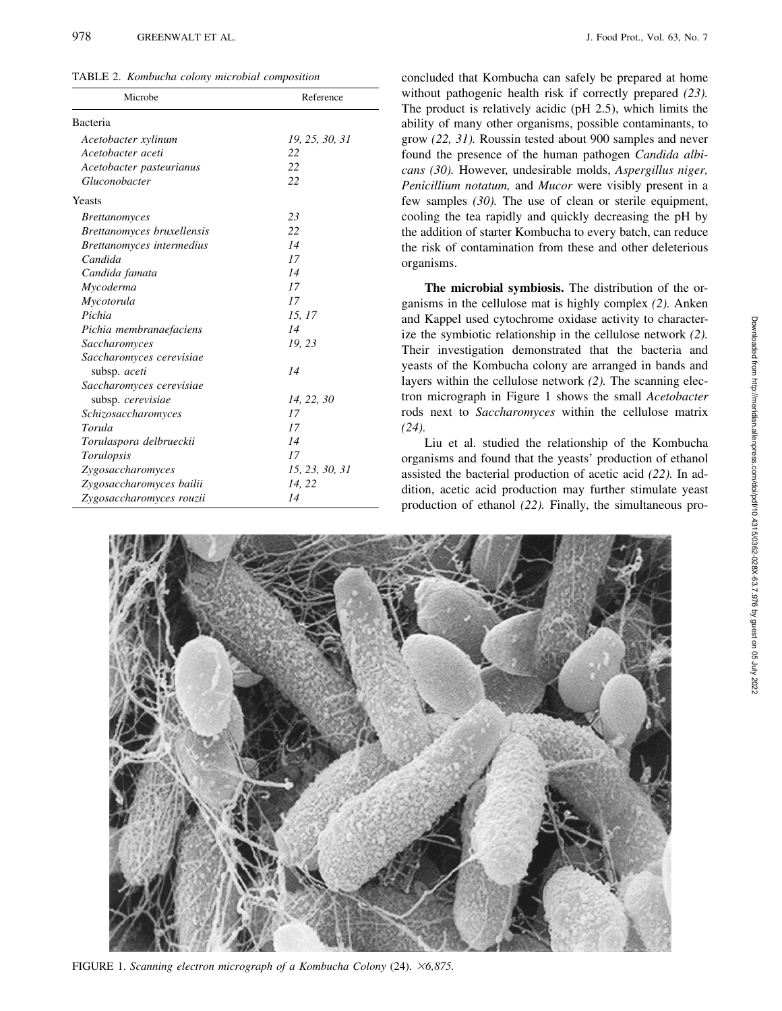TABLE 2. *Kombucha colony microbial composition*

| Microbe                    | Reference      |  |  |
|----------------------------|----------------|--|--|
| Bacteria                   |                |  |  |
| Acetobacter xylinum        | 19, 25, 30, 31 |  |  |
| Acetobacter aceti          | 22             |  |  |
| Acetobacter pasteurianus   | 22             |  |  |
| Gluconobacter              | 22             |  |  |
| Yeasts                     |                |  |  |
| <i>Brettanomyces</i>       | 23             |  |  |
| Brettanomyces bruxellensis | 22             |  |  |
| Brettanomyces intermedius  | 14             |  |  |
| Candida                    | 17             |  |  |
| Candida famata             | 14             |  |  |
| Mycoderma                  | 17             |  |  |
| Mycotorula                 | 17             |  |  |
| Pichia                     | 15, 17         |  |  |
| Pichia membranaefaciens    | 14             |  |  |
| Saccharomyces              | 19, 23         |  |  |
| Saccharomyces cerevisiae   |                |  |  |
| subsp. aceti               | 14             |  |  |
| Saccharomyces cerevisiae   |                |  |  |
| subsp. cerevisiae          | 14, 22, 30     |  |  |
| Schizosaccharomyces        | 17             |  |  |
| Torula                     | 17             |  |  |
| Torulaspora delbrueckii    | 14             |  |  |
| Torulopsis                 | 17             |  |  |
| Zygosaccharomyces          | 15, 23, 30, 31 |  |  |
| Zygosaccharomyces bailii   | 14, 22         |  |  |
| Zygosaccharomyces rouzii   | 14             |  |  |

concluded that Kombucha can safely be prepared at home without pathogenic health risk if correctly prepared *(23).* The product is relatively acidic (pH 2.5), which limits the ability of many other organisms, possible contaminants, to grow *(22, 31).* Roussin tested about 900 samples and never found the presence of the human pathogen *Candida albicans (30).* However, undesirable molds, *Aspergillus niger, Penicillium notatum,* and *Mucor* were visibly present in a few samples *(30).* The use of clean or sterile equipment, cooling the tea rapidly and quickly decreasing the pH by the addition of starter Kombucha to every batch, can reduce the risk of contamination from these and other deleterious organisms.

**The microbial symbiosis.** The distribution of the organisms in the cellulose mat is highly complex *(2).* Anken and Kappel used cytochrome oxidase activity to characterize the symbiotic relationship in the cellulose network *(2).* Their investigation demonstrated that the bacteria and yeasts of the Kombucha colony are arranged in bands and layers within the cellulose network *(2).* The scanning electron micrograph in Figure 1 shows the small *Acetobacter* rods next to *Saccharomyces* within the cellulose matrix *(24).*

Liu et al. studied the relationship of the Kombucha organisms and found that the yeasts' production of ethanol assisted the bacterial production of acetic acid *(22).* In addition, acetic acid production may further stimulate yeast production of ethanol *(22).* Finally, the simultaneous pro-



FIGURE 1. *Scanning electron micrograph of a Kombucha Colony* (24). *6,875.*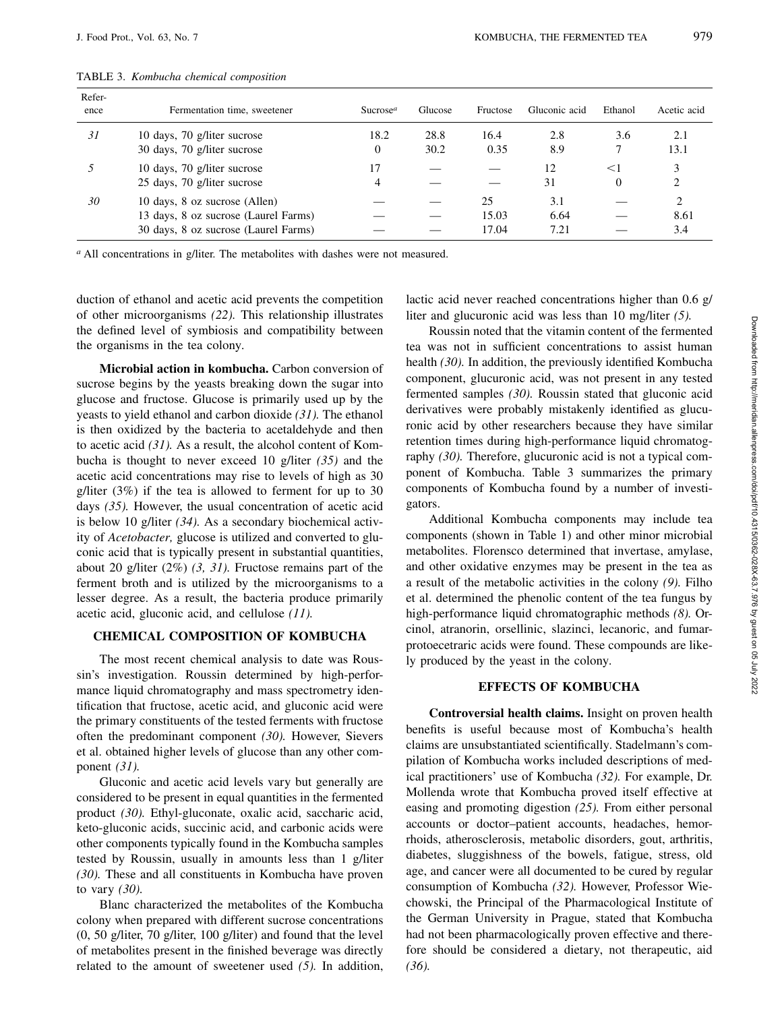| Refer-<br>ence | Fermentation time, sweetener         | Sucrose <sup><math>a</math></sup> | Glucose | Fructose | Gluconic acid | Ethanol  | Acetic acid |
|----------------|--------------------------------------|-----------------------------------|---------|----------|---------------|----------|-------------|
| 31             | 10 days, 70 g/liter sucrose          | 18.2                              | 28.8    | 16.4     | 2.8           | 3.6      | 2.1         |
|                | 30 days, 70 g/liter sucrose          | 0                                 | 30.2    | 0.35     | 8.9           |          | 13.1        |
|                | 10 days, 70 g/liter sucrose          | 17                                |         |          | 12            | $<$ 1    |             |
|                | 25 days, 70 g/liter sucrose          | 4                                 |         |          | 31            | $\Omega$ |             |
| 30             | 10 days, 8 oz sucrose (Allen)        |                                   |         | 25       | 3.1           |          | ∍           |
|                | 13 days, 8 oz sucrose (Laurel Farms) |                                   |         | 15.03    | 6.64          |          | 8.61        |
|                | 30 days, 8 oz sucrose (Laurel Farms) |                                   |         | 17.04    | 7.21          |          | 3.4         |
|                |                                      |                                   |         |          |               |          |             |

TABLE 3. *Kombucha chemical composition*

*<sup>a</sup>* All concentrations in g/liter. The metabolites with dashes were not measured.

duction of ethanol and acetic acid prevents the competition of other microorganisms *(22).* This relationship illustrates the defined level of symbiosis and compatibility between the organisms in the tea colony.

**Microbial action in kombucha.** Carbon conversion of sucrose begins by the yeasts breaking down the sugar into glucose and fructose. Glucose is primarily used up by the yeasts to yield ethanol and carbon dioxide *(31).* The ethanol is then oxidized by the bacteria to acetaldehyde and then to acetic acid *(31).* As a result, the alcohol content of Kombucha is thought to never exceed 10 g/liter *(35)* and the acetic acid concentrations may rise to levels of high as 30 g/liter (3%) if the tea is allowed to ferment for up to 30 days *(35).* However, the usual concentration of acetic acid is below 10 g/liter *(34).* As a secondary biochemical activity of *Acetobacter,* glucose is utilized and converted to gluconic acid that is typically present in substantial quantities, about 20 g/liter (2%) *(3, 31).* Fructose remains part of the ferment broth and is utilized by the microorganisms to a lesser degree. As a result, the bacteria produce primarily acetic acid, gluconic acid, and cellulose *(11).*

#### **CHEMICAL COMPOSITION OF KOMBUCHA**

The most recent chemical analysis to date was Roussin's investigation. Roussin determined by high-performance liquid chromatography and mass spectrometry identification that fructose, acetic acid, and gluconic acid were the primary constituents of the tested ferments with fructose often the predominant component *(30).* However, Sievers et al. obtained higher levels of glucose than any other component *(31).*

Gluconic and acetic acid levels vary but generally are considered to be present in equal quantities in the fermented product *(30).* Ethyl-gluconate, oxalic acid, saccharic acid, keto-gluconic acids, succinic acid, and carbonic acids were other components typically found in the Kombucha samples tested by Roussin, usually in amounts less than 1 g/liter *(30).* These and all constituents in Kombucha have proven to vary *(30).*

Blanc characterized the metabolites of the Kombucha colony when prepared with different sucrose concentrations (0, 50 g/liter, 70 g/liter, 100 g/liter) and found that the level of metabolites present in the finished beverage was directly related to the amount of sweetener used *(5).* In addition,

lactic acid never reached concentrations higher than 0.6 g/ liter and glucuronic acid was less than 10 mg/liter *(5).*

Roussin noted that the vitamin content of the fermented tea was not in sufficient concentrations to assist human health *(30).* In addition, the previously identified Kombucha component, glucuronic acid, was not present in any tested fermented samples *(30).* Roussin stated that gluconic acid derivatives were probably mistakenly identified as glucuronic acid by other researchers because they have similar retention times during high-performance liquid chromatography *(30).* Therefore, glucuronic acid is not a typical component of Kombucha. Table 3 summarizes the primary components of Kombucha found by a number of investigators.

Additional Kombucha components may include tea components (shown in Table 1) and other minor microbial metabolites. Florensco determined that invertase, amylase, and other oxidative enzymes may be present in the tea as a result of the metabolic activities in the colony *(9).* Filho et al. determined the phenolic content of the tea fungus by high-performance liquid chromatographic methods *(8).* Orcinol, atranorin, orsellinic, slazinci, lecanoric, and fumarprotoecetraric acids were found. These compounds are likely produced by the yeast in the colony.

# **EFFECTS OF KOMBUCHA**

**Controversial health claims.** Insight on proven health benefits is useful because most of Kombucha's health claims are unsubstantiated scientifically. Stadelmann's compilation of Kombucha works included descriptions of medical practitioners' use of Kombucha *(32).* For example, Dr. Mollenda wrote that Kombucha proved itself effective at easing and promoting digestion *(25).* From either personal accounts or doctor–patient accounts, headaches, hemorrhoids, atherosclerosis, metabolic disorders, gout, arthritis, diabetes, sluggishness of the bowels, fatigue, stress, old age, and cancer were all documented to be cured by regular consumption of Kombucha *(32).* However, Professor Wiechowski, the Principal of the Pharmacological Institute of the German University in Prague, stated that Kombucha had not been pharmacologically proven effective and therefore should be considered a dietary, not therapeutic, aid *(36).*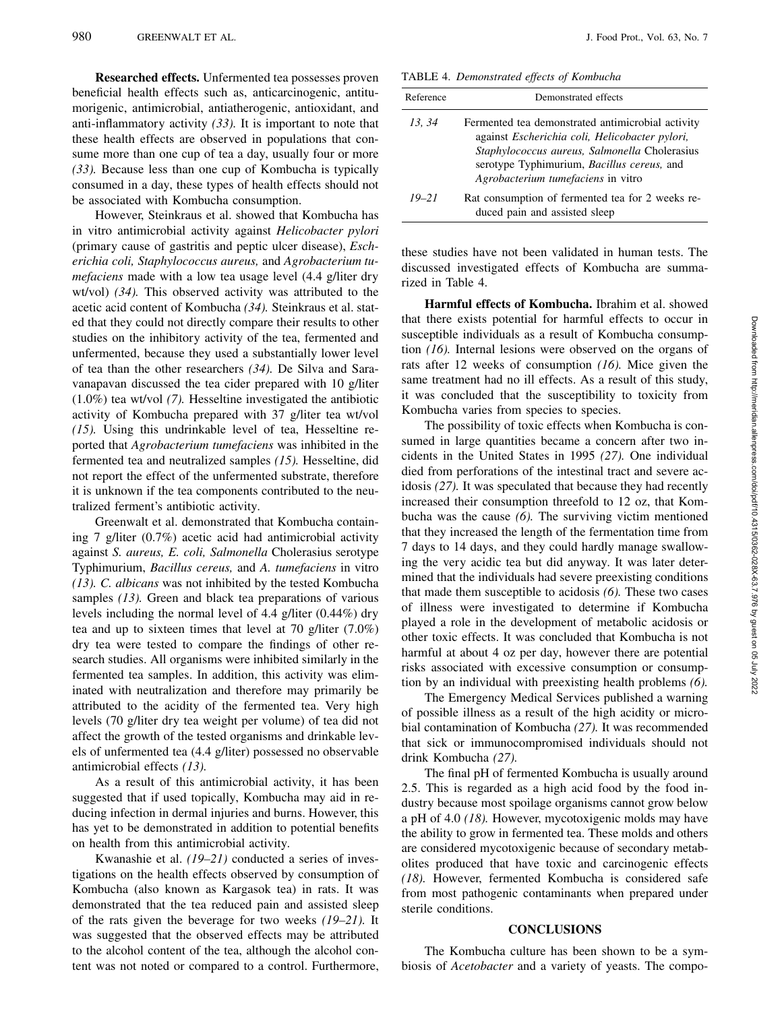**Researched effects.** Unfermented tea possesses proven beneficial health effects such as, anticarcinogenic, antitumorigenic, antimicrobial, antiatherogenic, antioxidant, and anti-inflammatory activity *(33).* It is important to note that these health effects are observed in populations that consume more than one cup of tea a day, usually four or more *(33).* Because less than one cup of Kombucha is typically consumed in a day, these types of health effects should not be associated with Kombucha consumption.

However, Steinkraus et al. showed that Kombucha has in vitro antimicrobial activity against *Helicobacter pylori* (primary cause of gastritis and peptic ulcer disease), *Escherichia coli, Staphylococcus aureus,* and *Agrobacterium tumefaciens* made with a low tea usage level (4.4 g/liter dry wt/vol) *(34).* This observed activity was attributed to the acetic acid content of Kombucha *(34).* Steinkraus et al. stated that they could not directly compare their results to other studies on the inhibitory activity of the tea, fermented and unfermented, because they used a substantially lower level of tea than the other researchers *(34).* De Silva and Saravanapavan discussed the tea cider prepared with 10 g/liter (1.0%) tea wt/vol *(7).* Hesseltine investigated the antibiotic activity of Kombucha prepared with 37 g/liter tea wt/vol *(15).* Using this undrinkable level of tea, Hesseltine reported that *Agrobacterium tumefaciens* was inhibited in the fermented tea and neutralized samples *(15).* Hesseltine, did not report the effect of the unfermented substrate, therefore it is unknown if the tea components contributed to the neutralized ferment's antibiotic activity.

Greenwalt et al. demonstrated that Kombucha containing 7 g/liter (0.7%) acetic acid had antimicrobial activity against *S. aureus, E. coli, Salmonella* Cholerasius serotype Typhimurium, *Bacillus cereus,* and *A. tumefaciens* in vitro *(13). C. albicans* was not inhibited by the tested Kombucha samples *(13).* Green and black tea preparations of various levels including the normal level of 4.4 g/liter (0.44%) dry tea and up to sixteen times that level at 70 g/liter (7.0%) dry tea were tested to compare the findings of other research studies. All organisms were inhibited similarly in the fermented tea samples. In addition, this activity was eliminated with neutralization and therefore may primarily be attributed to the acidity of the fermented tea. Very high levels (70 g/liter dry tea weight per volume) of tea did not affect the growth of the tested organisms and drinkable levels of unfermented tea (4.4 g/liter) possessed no observable antimicrobial effects *(13).*

As a result of this antimicrobial activity, it has been suggested that if used topically, Kombucha may aid in reducing infection in dermal injuries and burns. However, this has yet to be demonstrated in addition to potential benefits on health from this antimicrobial activity.

Kwanashie et al. *(19–21)* conducted a series of investigations on the health effects observed by consumption of Kombucha (also known as Kargasok tea) in rats. It was demonstrated that the tea reduced pain and assisted sleep of the rats given the beverage for two weeks *(19–21).* It was suggested that the observed effects may be attributed to the alcohol content of the tea, although the alcohol content was not noted or compared to a control. Furthermore,

TABLE 4. *Demonstrated effects of Kombucha*

| Reference | Demonstrated effects                                                                                                                                                                                                                     |
|-----------|------------------------------------------------------------------------------------------------------------------------------------------------------------------------------------------------------------------------------------------|
| 13, 34    | Fermented tea demonstrated antimicrobial activity<br>against Escherichia coli, Helicobacter pylori,<br>Staphylococcus aureus, Salmonella Cholerasius<br>serotype Typhimurium, Bacillus cereus, and<br>Agrobacterium tumefaciens in vitro |
| $19 - 21$ | Rat consumption of fermented tea for 2 weeks re-<br>duced pain and assisted sleep                                                                                                                                                        |

these studies have not been validated in human tests. The discussed investigated effects of Kombucha are summarized in Table 4.

**Harmful effects of Kombucha.** Ibrahim et al. showed that there exists potential for harmful effects to occur in susceptible individuals as a result of Kombucha consumption *(16).* Internal lesions were observed on the organs of rats after 12 weeks of consumption *(16).* Mice given the same treatment had no ill effects. As a result of this study, it was concluded that the susceptibility to toxicity from Kombucha varies from species to species.

The possibility of toxic effects when Kombucha is consumed in large quantities became a concern after two incidents in the United States in 1995 *(27).* One individual died from perforations of the intestinal tract and severe acidosis *(27).* It was speculated that because they had recently increased their consumption threefold to 12 oz, that Kombucha was the cause *(6).* The surviving victim mentioned that they increased the length of the fermentation time from 7 days to 14 days, and they could hardly manage swallowing the very acidic tea but did anyway. It was later determined that the individuals had severe preexisting conditions that made them susceptible to acidosis *(6).* These two cases of illness were investigated to determine if Kombucha played a role in the development of metabolic acidosis or other toxic effects. It was concluded that Kombucha is not harmful at about 4 oz per day, however there are potential risks associated with excessive consumption or consumption by an individual with preexisting health problems *(6).*

The Emergency Medical Services published a warning of possible illness as a result of the high acidity or microbial contamination of Kombucha *(27).* It was recommended that sick or immunocompromised individuals should not drink Kombucha *(27).*

The final pH of fermented Kombucha is usually around 2.5. This is regarded as a high acid food by the food industry because most spoilage organisms cannot grow below a pH of 4.0 *(18).* However, mycotoxigenic molds may have the ability to grow in fermented tea. These molds and others are considered mycotoxigenic because of secondary metabolites produced that have toxic and carcinogenic effects *(18).* However, fermented Kombucha is considered safe from most pathogenic contaminants when prepared under sterile conditions.

## **CONCLUSIONS**

The Kombucha culture has been shown to be a symbiosis of *Acetobacter* and a variety of yeasts. The compo